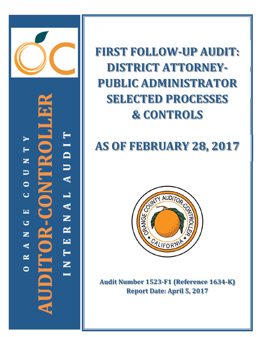

AUDIT  $\blacktriangleright$ H Ř<br>F z  $\blacksquare$  $\bullet$ Z<br>O RNAL Ō  $\overline{\phantom{a}}$  $\overline{0}$   $\overline{1}$ ی z INTE  $\blacktriangleleft$ UDIT  $\approx$  $\bullet$ 

**FIRST FOLLOW‐UP AUDIT: DISTRICT ATTORNEY‐ PUBLIC ADMINISTRATOR SELECTED PROCESSES & CONTROLS**

# **AS OF FEBRUARY 28, 2017**



**Audit Number 1523‐F1 (Reference 1634‐K) Report Date: April 5, 2017**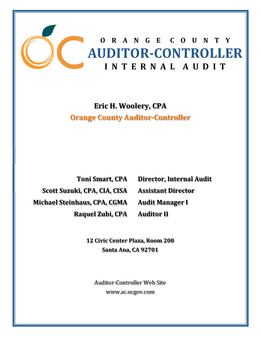

**Eric H. Woolery, CPA Orange County Auditor‐Controller**

**Scott Suzuki, CPA, CIA, CISA Michael Steinhaus, CPA, CGMA Raquel Zubi, CPA**

**Toni Smart, CPA Director, Internal Audit Assistant Director Audit Manager I Auditor II**

**12 Civic Center Plaza, Room 200 Santa Ana, CA 92701**

Auditor-Controller Web Site www.ac.ocgov.com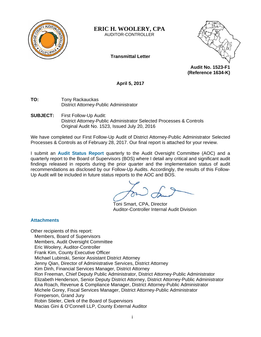

# **ERIC H. WOOLERY, CPA**

AUDITOR-CONTROLLER

**Transmittal Letter** 



**Audit No. 1523-F1 (Reference 1634-K)** 

**April 5, 2017** 

**TO:** Tony Rackauckas District Attorney-Public Administrator

**SUBJECT:** First Follow-Up Audit: District Attorney-Public Administrator Selected Processes & Controls Original Audit No. 1523, Issued July 20, 2016

We have completed our First Follow-Up Audit of District Attorney-Public Administrator Selected Processes & Controls as of February 28, 2017. Our final report is attached for your review.

I submit an **Audit Status Report** quarterly to the Audit Oversight Committee (AOC) and a quarterly report to the Board of Supervisors (BOS) where I detail any critical and significant audit findings released in reports during the prior quarter and the implementation status of audit recommendations as disclosed by our Follow-Up Audits. Accordingly, the results of this Follow-Up Audit will be included in future status reports to the AOC and BOS.

Toni Smart, CPA, Director Auditor-Controller Internal Audit Division

# **Attachments**

Other recipients of this report: Members, Board of Supervisors Members, Audit Oversight Committee Eric Woolery, Auditor-Controller Frank Kim, County Executive Officer Michael Lubinski, Senior Assistant District Attorney Jenny Qian, Director of Administrative Services, District Attorney Kim Dinh, Financial Services Manager, District Attorney Ron Freeman, Chief Deputy Public Administrator, District Attorney-Public Administrator Elizabeth Henderson, Senior Deputy District Attorney, District Attorney-Public Administrator Ana Roach, Revenue & Compliance Manager, District Attorney-Public Administrator Michele Gorey, Fiscal Services Manager, District Attorney-Public Administrator Foreperson, Grand Jury Robin Stieler, Clerk of the Board of Supervisors Macias Gini & O'Connell LLP, County External Auditor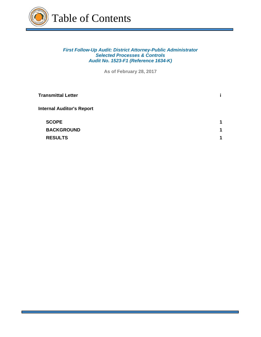

## *First Follow-Up Audit: District Attorney-Public Administrator Selected Processes & Controls Audit No. 1523-F1 (Reference 1634-K)*

**As of February 28, 2017**

| <b>Transmittal Letter</b>        |                      |
|----------------------------------|----------------------|
| <b>Internal Auditor's Report</b> |                      |
| <b>SCOPE</b>                     | $\blacktriangleleft$ |
| <b>BACKGROUND</b>                | 1                    |
| <b>RESULTS</b>                   | 1                    |
|                                  |                      |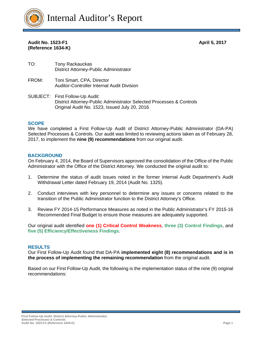

## **Audit No. 1523-F1 April 5, 2017 (Reference 1634-K)**

- TO: Tony Rackauckas District Attorney-Public Administrator
- FROM: Toni Smart, CPA, Director Auditor-Controller Internal Audit Division
- SUBJECT: First Follow-Up Audit: District Attorney-Public Administrator Selected Processes & Controls Original Audit No. 1523, Issued July 20, 2016

#### **SCOPE**

We have completed a First Follow-Up Audit of District Attorney-Public Administrator (DA-PA) Selected Processes & Controls. Our audit was limited to reviewing actions taken as of February 28, 2017, to implement the **nine (9) recommendations** from our original audit.

#### **BACKGROUND**

On February 4, 2014, the Board of Supervisors approved the consolidation of the Office of the Public Administrator with the Office of the District Attorney. We conducted the original audit to:

- 1. Determine the status of audit issues noted in the former Internal Audit Department's Audit Withdrawal Letter dated February 19, 2014 (Audit No. 1325).
- 2. Conduct interviews with key personnel to determine any issues or concerns related to the transition of the Public Administrator function to the District Attorney's Office.
- 3. Review FY 2014-15 Performance Measures as noted in the Public Administrator's FY 2015-16 Recommended Final Budget to ensure those measures are adequately supported.

Our original audit identified **one (1) Critical Control Weakness**, **three (3) Control Findings**, and **five (5) Efficiency/Effectiveness Findings**.

#### **RESULTS**

Our First Follow-Up Audit found that DA-PA **implemented eight (8) recommendations and is in the process of implementing the remaining recommendation** from the original audit.

Based on our First Follow-Up Audit, the following is the implementation status of the nine (9) original recommendations: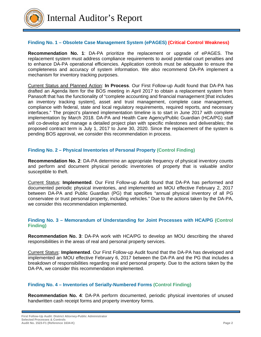

#### **Finding No. 1 – Obsolete Case Management System (ePAGES) (Critical Control Weakness)**

**Recommendation No. 1**: DA-PA prioritize the replacement or upgrade of ePAGES. The replacement system must address compliance requirements to avoid potential court penalties and to enhance DA-PA operational efficiencies. Application controls must be adequate to ensure the completeness and accuracy of system information. We also recommend DA-PA implement a mechanism for inventory tracking purposes.

Current Status and Planned Action: **In Process**. Our First Follow-up Audit found that DA-PA has drafted an Agenda Item for the BOS meeting in April 2017 to obtain a replacement system from Panasoft that has the functionality of "complete accounting and financial management [that includes an inventory tracking system], asset and trust management, complete case management, compliance with federal, state and local regulatory requirements, required reports, and necessary interfaces." The project's planned implementation timeline is to start in June 2017 with complete implementation by March 2018. DA-PA and Health Care Agency/Public Guardian (HCA/PG) staff will co-develop and manage a detailed project plan with specific milestones and deliverables; the proposed contract term is July 1, 2017 to June 30, 2020. Since the replacement of the system is pending BOS approval, we consider this recommendation in process.

#### **Finding No. 2 – Physical Inventories of Personal Property (Control Finding)**

**Recommendation No. 2**: DA-PA determine an appropriate frequency of physical inventory counts and perform and document physical periodic inventories of property that is valuable and/or susceptible to theft.

Current Status: **Implemented**. Our First Follow-up Audit found that DA-PA has performed and documented periodic physical inventories, and implemented an MOU effective February 2, 2017 between DA-PA and Public Guardian (PG) that specifies "annual physical inventory of all PG conservatee or trust personal property, including vehicles." Due to the actions taken by the DA-PA, we consider this recommendation implemented.

#### **Finding No. 3 – Memorandum of Understanding for Joint Processes with HCA/PG (Control Finding)**

**Recommendation No. 3**: DA-PA work with HCA/PG to develop an MOU describing the shared responsibilities in the areas of real and personal property services.

Current Status: **Implemented**. Our First Follow-up Audit found that the DA-PA has developed and implemented an MOU effective February 6, 2017 between the DA-PA and the PG that includes a breakdown of responsibilities regarding real and personal property. Due to the actions taken by the DA-PA, we consider this recommendation implemented.

#### **Finding No. 4 – Inventories of Serially-Numbered Forms (Control Finding)**

**Recommendation No. 4**: DA-PA perform documented, periodic physical inventories of unused handwritten cash receipt forms and property inventory forms.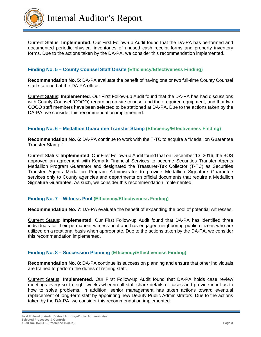

Current Status: **Implemented**. Our First Follow-up Audit found that the DA-PA has performed and documented periodic physical inventories of unused cash receipt forms and property inventory forms. Due to the actions taken by the DA-PA, we consider this recommendation implemented.

# **Finding No. 5 – County Counsel Staff Onsite (Efficiency/Effectiveness Finding)**

**Recommendation No. 5**: DA-PA evaluate the benefit of having one or two full-time County Counsel staff stationed at the DA-PA office.

Current Status: **Implemented**. Our First Follow-up Audit found that the DA-PA has had discussions with County Counsel (COCO) regarding on-site counsel and their required equipment, and that two COCO staff members have been selected to be stationed at DA-PA. Due to the actions taken by the DA-PA, we consider this recommendation implemented.

# **Finding No. 6 – Medallion Guarantee Transfer Stamp (Efficiency/Effectiveness Finding)**

**Recommendation No. 6**: DA-PA continue to work with the T-TC to acquire a "Medallion Guarantee Transfer Stamp."

Current Status: **Implemented**. Our First Follow-up Audit found that on December 13, 2016, the BOS approved an agreement with Kemark Financial Services to become Securities Transfer Agents Medallion Program Guarantor and designated the Treasurer-Tax Collector (T-TC) as Securities Transfer Agents Medallion Program Administrator to provide Medallion Signature Guarantee services only to County agencies and departments on official documents that require a Medallion Signature Guarantee. As such, we consider this recommendation implemented.

# **Finding No. 7 – Witness Pool (Efficiency/Effectiveness Finding)**

**Recommendation No. 7**: DA-PA evaluate the benefit of expanding the pool of potential witnesses.

Current Status: **Implemented**. Our First Follow-up Audit found that DA-PA has identified three individuals for their permanent witness pool and has engaged neighboring public citizens who are utilized on a rotational basis when appropriate. Due to the actions taken by the DA-PA, we consider this recommendation implemented.

#### **Finding No. 8 – Succession Planning (Efficiency/Effectiveness Finding)**

**Recommendation No. 8**: DA-PA continue its succession planning and ensure that other individuals are trained to perform the duties of retiring staff.

Current Status: **Implemented**. Our First Follow-up Audit found that DA-PA holds case review meetings every six to eight weeks wherein all staff share details of cases and provide input as to how to solve problems. In addition, senior management has taken actions toward eventual replacement of long-term staff by appointing new Deputy Public Administrators. Due to the actions taken by the DA-PA, we consider this recommendation implemented.